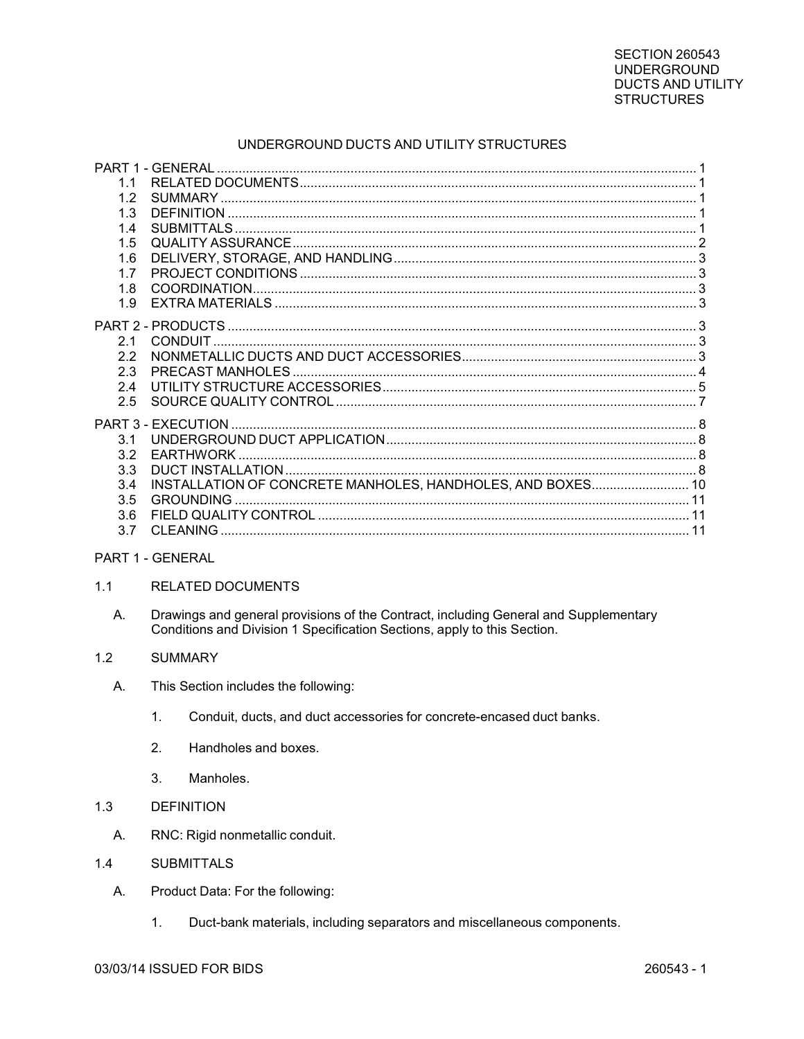# UNDERGROUND DUCTS AND UTILITY STRUCTURES

|                  | PART 1 - GENERAL                                           |  |
|------------------|------------------------------------------------------------|--|
| 1.1              |                                                            |  |
| 1.2              |                                                            |  |
| 1.3              |                                                            |  |
| 1.4              |                                                            |  |
| 1.5              |                                                            |  |
| 1.6              |                                                            |  |
| 17               |                                                            |  |
| 1.8              |                                                            |  |
| 1.9              |                                                            |  |
|                  |                                                            |  |
| 2.1              |                                                            |  |
| 22               |                                                            |  |
| 2.3              |                                                            |  |
| 2.4              |                                                            |  |
| 2.5              |                                                            |  |
|                  |                                                            |  |
|                  |                                                            |  |
| 3.1              |                                                            |  |
| 3.2              |                                                            |  |
| 33               |                                                            |  |
| 3.4              | INSTALLATION OF CONCRETE MANHOLES, HANDHOLES, AND BOXES 10 |  |
| 3.5              |                                                            |  |
| 3.6              |                                                            |  |
| 3.7              |                                                            |  |
| PART 1 - GENERAL |                                                            |  |
| 1 <sub>1</sub>   | <b>RELATED DOCUMENTS</b>                                   |  |

Drawings and general provisions of the Contract, including General and Supplementary А. Conditions and Division 1 Specification Sections, apply to this Section.

#### $1.2$ **SUMMARY**

- $A<sub>1</sub>$ This Section includes the following:
	- $1<sub>1</sub>$ Conduit, ducts, and duct accessories for concrete-encased duct banks.
	- $2.$ Handholes and boxes.
	- $3.$ Manholes.
- $1.3$ **DEFINITION** 
	- Α. RNC: Rigid nonmetallic conduit.
- **SUBMITTALS**  $1.4$ 
	- A. Product Data: For the following:
		- $1.$ Duct-bank materials, including separators and miscellaneous components.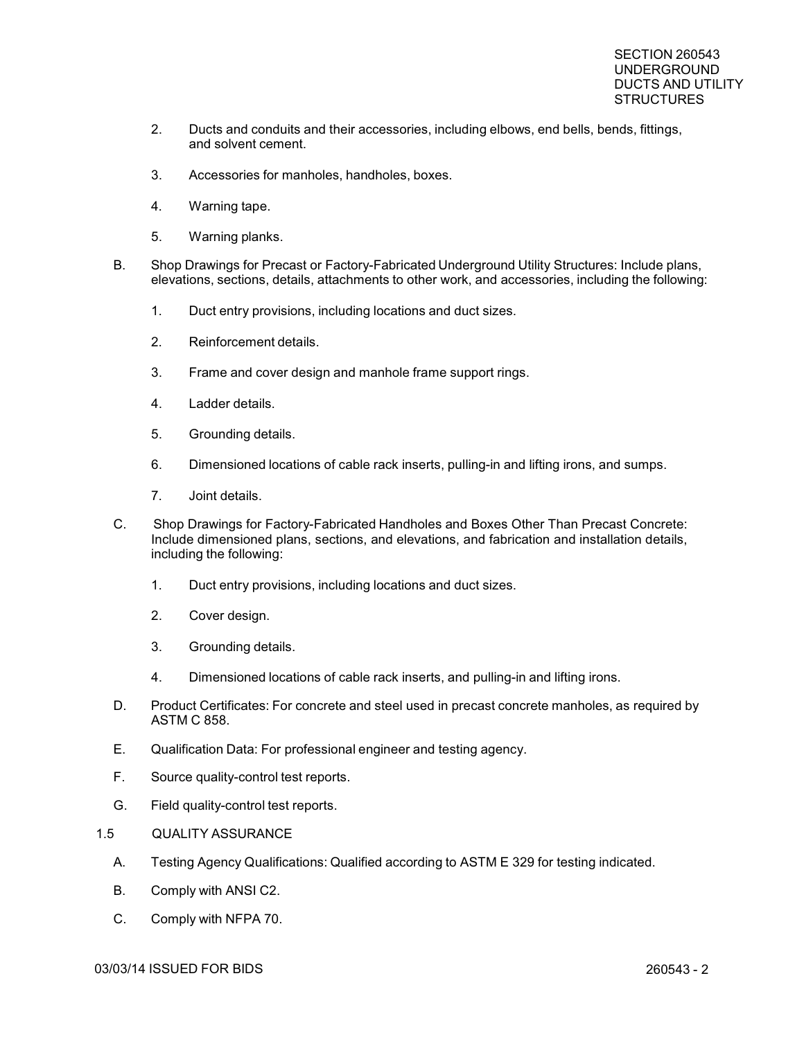- 2. Ducts and conduits and their accessories, including elbows, end bells, bends, fittings, and solvent cement.
- 3. Accessories for manholes, handholes, boxes.
- 4. Warning tape.
- 5. Warning planks.
- B. Shop Drawings for Precast or Factory-Fabricated Underground Utility Structures: Include plans, elevations, sections, details, attachments to other work, and accessories, including the following:
	- 1. Duct entry provisions, including locations and duct sizes.
	- 2. Reinforcement details.
	- 3. Frame and cover design and manhole frame support rings.
	- 4. Ladder details.
	- 5. Grounding details.
	- 6. Dimensioned locations of cable rack inserts, pulling-in and lifting irons, and sumps.
	- 7. Joint details.
- C. Shop Drawings for Factory-Fabricated Handholes and Boxes Other Than Precast Concrete: Include dimensioned plans, sections, and elevations, and fabrication and installation details, including the following:
	- 1. Duct entry provisions, including locations and duct sizes.
	- 2. Cover design.
	- 3. Grounding details.
	- 4. Dimensioned locations of cable rack inserts, and pulling-in and lifting irons.
- D. Product Certificates: For concrete and steel used in precast concrete manholes, as required by ASTM C 858.
- E. Qualification Data: For professional engineer and testing agency.
- F. Source quality-control test reports.
- G. Field quality-control test reports.
- 1.5 QUALITY ASSURANCE
	- A. Testing Agency Qualifications: Qualified according to ASTM E 329 for testing indicated.
	- B. Comply with ANSI C2.
	- C. Comply with NFPA 70.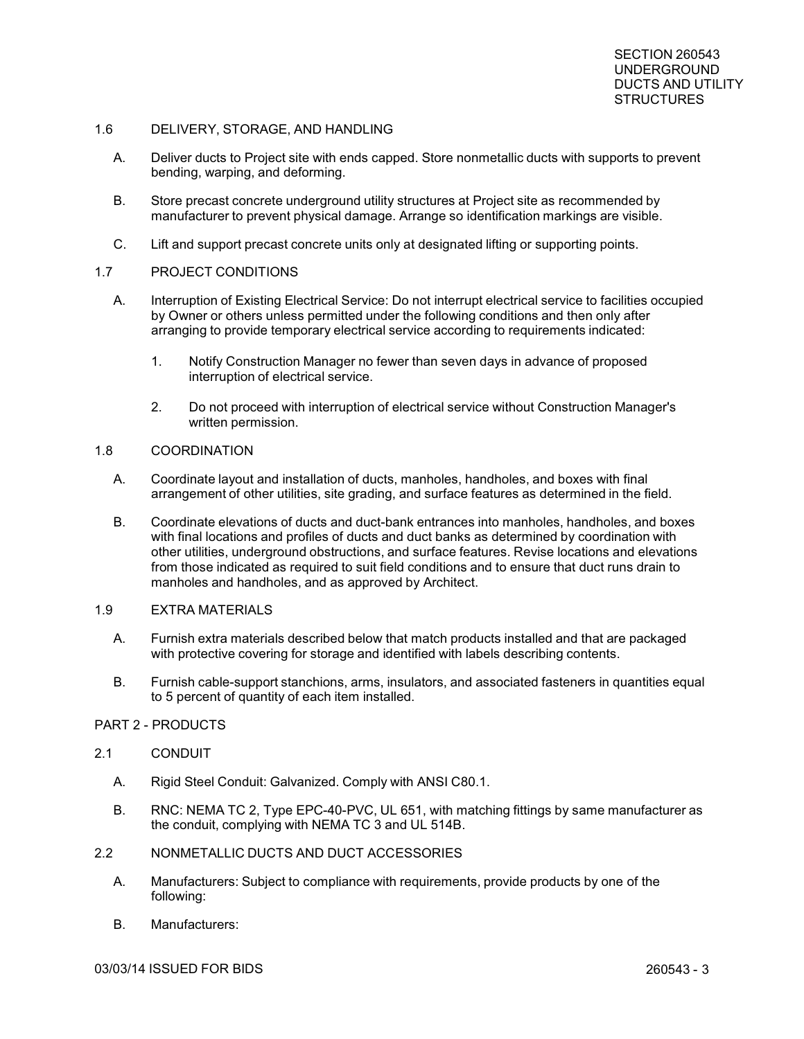### 1.6 DELIVERY, STORAGE, AND HANDLING

- A. Deliver ducts to Project site with ends capped. Store nonmetallic ducts with supports to prevent bending, warping, and deforming.
- B. Store precast concrete underground utility structures at Project site as recommended by manufacturer to prevent physical damage. Arrange so identification markings are visible.
- C. Lift and support precast concrete units only at designated lifting or supporting points.

#### 1.7 PROJECT CONDITIONS

- A. Interruption of Existing Electrical Service: Do not interrupt electrical service to facilities occupied by Owner or others unless permitted under the following conditions and then only after arranging to provide temporary electrical service according to requirements indicated:
	- 1. Notify Construction Manager no fewer than seven days in advance of proposed interruption of electrical service.
	- 2. Do not proceed with interruption of electrical service without Construction Manager's written permission.

#### 1.8 COORDINATION

- A. Coordinate layout and installation of ducts, manholes, handholes, and boxes with final arrangement of other utilities, site grading, and surface features as determined in the field.
- B. Coordinate elevations of ducts and duct-bank entrances into manholes, handholes, and boxes with final locations and profiles of ducts and duct banks as determined by coordination with other utilities, underground obstructions, and surface features. Revise locations and elevations from those indicated as required to suit field conditions and to ensure that duct runs drain to manholes and handholes, and as approved by Architect.

### 1.9 EXTRA MATERIALS

- A. Furnish extra materials described below that match products installed and that are packaged with protective covering for storage and identified with labels describing contents.
- B. Furnish cable-support stanchions, arms, insulators, and associated fasteners in quantities equal to 5 percent of quantity of each item installed.

# PART 2 - PRODUCTS

### 2.1 CONDUIT

- A. Rigid Steel Conduit: Galvanized. Comply with ANSI C80.1.
- B. RNC: NEMA TC 2, Type EPC-40-PVC, UL 651, with matching fittings by same manufacturer as the conduit, complying with NEMA TC 3 and UL 514B.

# 2.2 NONMETALLIC DUCTS AND DUCT ACCESSORIES

- A. Manufacturers: Subject to compliance with requirements, provide products by one of the following:
- B. Manufacturers: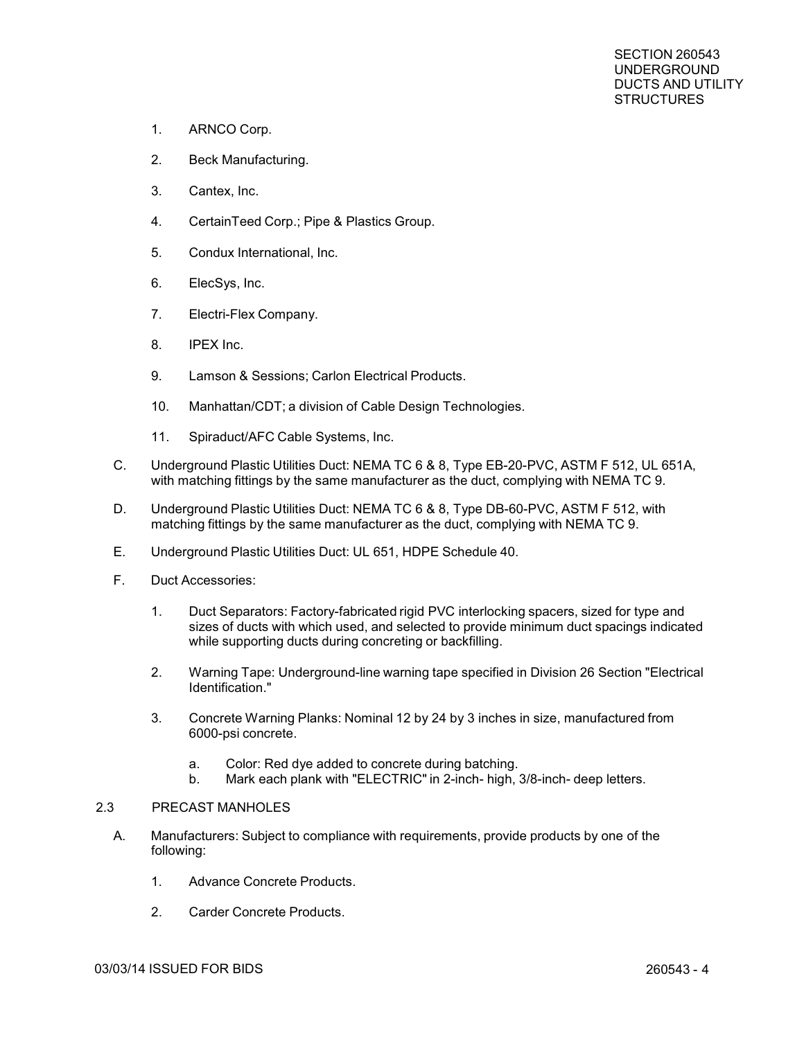- 1. ARNCO Corp.
- 2. Beck Manufacturing.
- 3. Cantex, Inc.
- 4. CertainTeed Corp.; Pipe & Plastics Group.
- 5. Condux International, Inc.
- 6. ElecSys, Inc.
- 7. Electri-Flex Company.
- 8. IPEX Inc.
- 9. Lamson & Sessions; Carlon Electrical Products.
- 10. Manhattan/CDT; a division of Cable Design Technologies.
- 11. Spiraduct/AFC Cable Systems, Inc.
- C. Underground Plastic Utilities Duct: NEMA TC 6 & 8, Type EB-20-PVC, ASTM F 512, UL 651A, with matching fittings by the same manufacturer as the duct, complying with NEMA TC 9.
- D. Underground Plastic Utilities Duct: NEMA TC 6 & 8, Type DB-60-PVC, ASTM F 512, with matching fittings by the same manufacturer as the duct, complying with NEMA TC 9.
- E. Underground Plastic Utilities Duct: UL 651, HDPE Schedule 40.
- F. Duct Accessories:
	- 1. Duct Separators: Factory-fabricated rigid PVC interlocking spacers, sized for type and sizes of ducts with which used, and selected to provide minimum duct spacings indicated while supporting ducts during concreting or backfilling.
	- 2. Warning Tape: Underground-line warning tape specified in Division 26 Section "Electrical Identification."
	- 3. Concrete Warning Planks: Nominal 12 by 24 by 3 inches in size, manufactured from 6000-psi concrete.
		- a. Color: Red dye added to concrete during batching.
		- b. Mark each plank with "ELECTRIC" in 2-inch- high, 3/8-inch- deep letters.

#### 2.3 PRECAST MANHOLES

- A. Manufacturers: Subject to compliance with requirements, provide products by one of the following:
	- 1. Advance Concrete Products.
	- 2. Carder Concrete Products.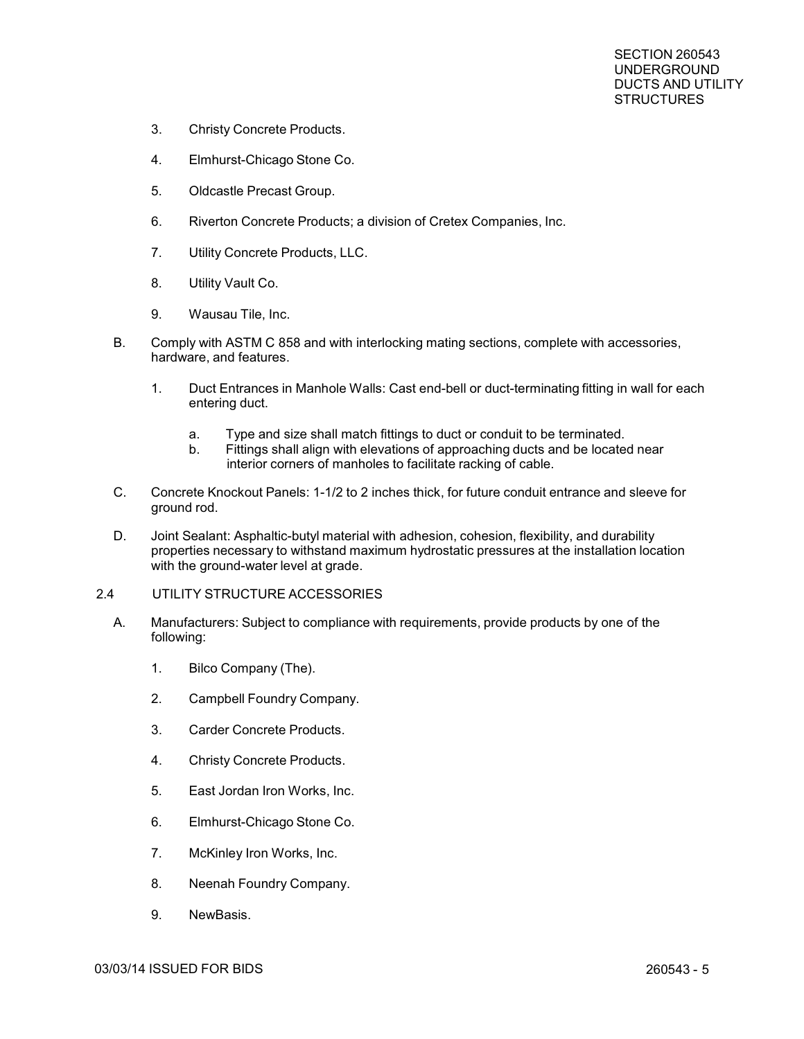- 3. Christy Concrete Products.
- 4. Elmhurst-Chicago Stone Co.
- 5. Oldcastle Precast Group.
- 6. Riverton Concrete Products; a division of Cretex Companies, Inc.
- 7. Utility Concrete Products, LLC.
- 8. Utility Vault Co.
- 9. Wausau Tile, Inc.
- B. Comply with ASTM C 858 and with interlocking mating sections, complete with accessories, hardware, and features.
	- 1. Duct Entrances in Manhole Walls: Cast end-bell or duct-terminating fitting in wall for each entering duct.
		- a. Type and size shall match fittings to duct or conduit to be terminated.
		- b. Fittings shall align with elevations of approaching ducts and be located near interior corners of manholes to facilitate racking of cable.
- C. Concrete Knockout Panels: 1-1/2 to 2 inches thick, for future conduit entrance and sleeve for ground rod.
- D. Joint Sealant: Asphaltic-butyl material with adhesion, cohesion, flexibility, and durability properties necessary to withstand maximum hydrostatic pressures at the installation location with the ground-water level at grade.
- 2.4 UTILITY STRUCTURE ACCESSORIES
	- A. Manufacturers: Subject to compliance with requirements, provide products by one of the following:
		- 1. Bilco Company (The).
		- 2. Campbell Foundry Company.
		- 3. Carder Concrete Products.
		- 4. Christy Concrete Products.
		- 5. East Jordan Iron Works, Inc.
		- 6. Elmhurst-Chicago Stone Co.
		- 7. McKinley Iron Works, Inc.
		- 8. Neenah Foundry Company.
		- 9. NewBasis.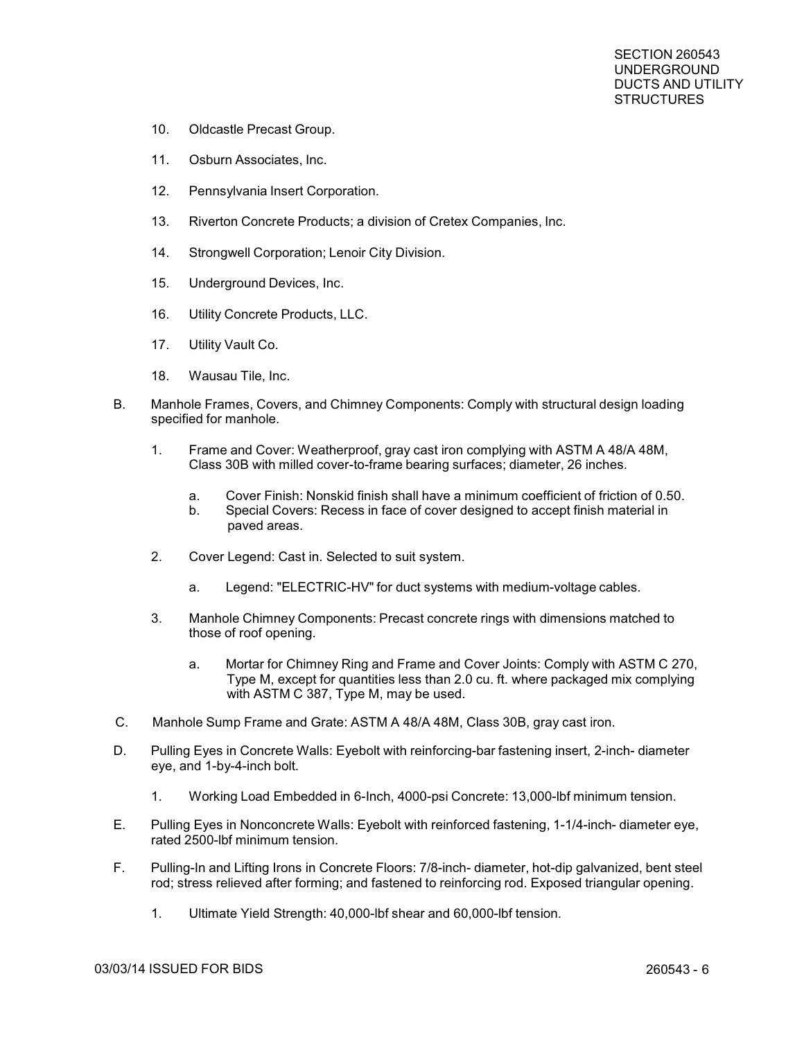- 10. Oldcastle Precast Group.
- 11. Osburn Associates, Inc.
- 12. Pennsylvania Insert Corporation.
- 13. Riverton Concrete Products; a division of Cretex Companies, Inc.
- 14. Strongwell Corporation; Lenoir City Division.
- 15. Underground Devices, Inc.
- 16. Utility Concrete Products, LLC.
- 17. Utility Vault Co.
- 18. Wausau Tile, Inc.
- B. Manhole Frames, Covers, and Chimney Components: Comply with structural design loading specified for manhole.
	- 1. Frame and Cover: Weatherproof, gray cast iron complying with ASTM A 48/A 48M, Class 30B with milled cover-to-frame bearing surfaces; diameter, 26 inches.
		- a. Cover Finish: Nonskid finish shall have a minimum coefficient of friction of 0.50.
		- b. Special Covers: Recess in face of cover designed to accept finish material in paved areas.
	- 2. Cover Legend: Cast in. Selected to suit system.
		- a. Legend: "ELECTRIC-HV" for duct systems with medium-voltage cables.
	- 3. Manhole Chimney Components: Precast concrete rings with dimensions matched to those of roof opening.
		- a. Mortar for Chimney Ring and Frame and Cover Joints: Comply with ASTM C 270, Type M, except for quantities less than 2.0 cu. ft. where packaged mix complying with ASTM C 387, Type M, may be used.
- C. Manhole Sump Frame and Grate: ASTM A 48/A 48M, Class 30B, gray cast iron.
- D. Pulling Eyes in Concrete Walls: Eyebolt with reinforcing-bar fastening insert, 2-inch- diameter eye, and 1-by-4-inch bolt.
	- 1. Working Load Embedded in 6-Inch, 4000-psi Concrete: 13,000-lbf minimum tension.
- E. Pulling Eyes in Nonconcrete Walls: Eyebolt with reinforced fastening, 1-1/4-inch- diameter eye, rated 2500-lbf minimum tension.
- F. Pulling-In and Lifting Irons in Concrete Floors: 7/8-inch- diameter, hot-dip galvanized, bent steel rod; stress relieved after forming; and fastened to reinforcing rod. Exposed triangular opening.
	- 1. Ultimate Yield Strength: 40,000-lbf shear and 60,000-lbf tension.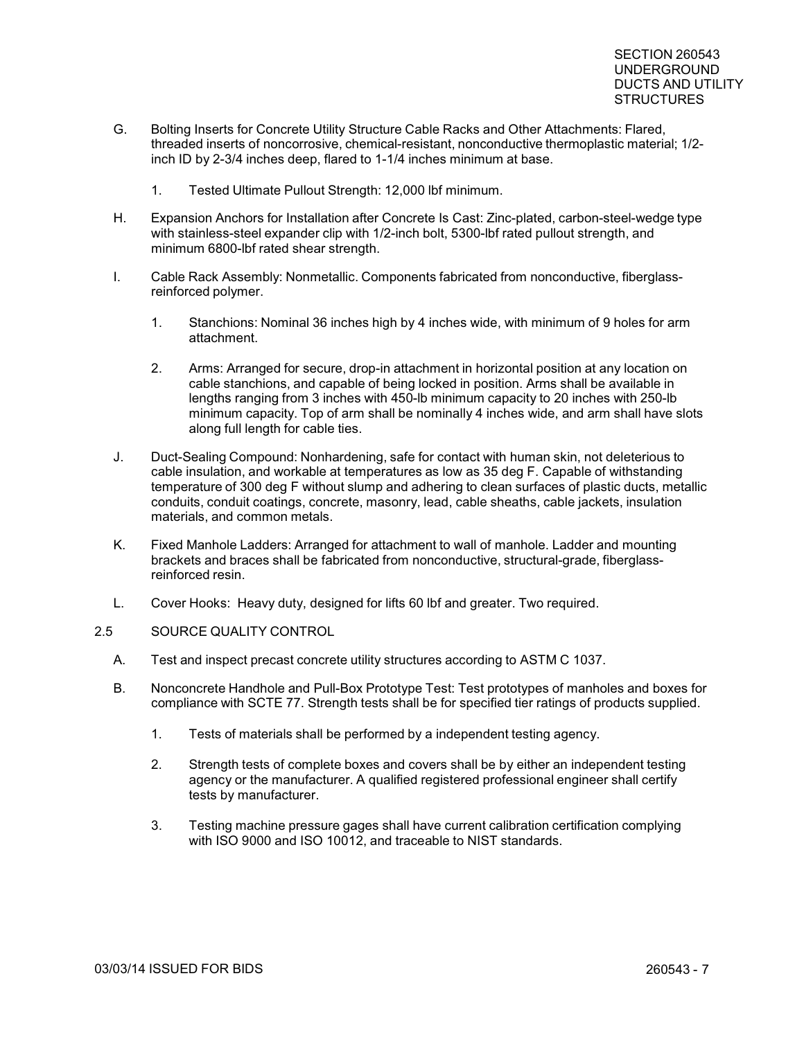- G. Bolting Inserts for Concrete Utility Structure Cable Racks and Other Attachments: Flared, threaded inserts of noncorrosive, chemical-resistant, nonconductive thermoplastic material; 1/2 inch ID by 2-3/4 inches deep, flared to 1-1/4 inches minimum at base.
	- 1. Tested Ultimate Pullout Strength: 12,000 lbf minimum.
- H. Expansion Anchors for Installation after Concrete Is Cast: Zinc-plated, carbon-steel-wedge type with stainless-steel expander clip with 1/2-inch bolt, 5300-lbf rated pullout strength, and minimum 6800-lbf rated shear strength.
- I. Cable Rack Assembly: Nonmetallic. Components fabricated from nonconductive, fiberglassreinforced polymer.
	- 1. Stanchions: Nominal 36 inches high by 4 inches wide, with minimum of 9 holes for arm attachment.
	- 2. Arms: Arranged for secure, drop-in attachment in horizontal position at any location on cable stanchions, and capable of being locked in position. Arms shall be available in lengths ranging from 3 inches with 450-lb minimum capacity to 20 inches with 250-lb minimum capacity. Top of arm shall be nominally 4 inches wide, and arm shall have slots along full length for cable ties.
- J. Duct-Sealing Compound: Nonhardening, safe for contact with human skin, not deleterious to cable insulation, and workable at temperatures as low as 35 deg F. Capable of withstanding temperature of 300 deg F without slump and adhering to clean surfaces of plastic ducts, metallic conduits, conduit coatings, concrete, masonry, lead, cable sheaths, cable jackets, insulation materials, and common metals.
- K. Fixed Manhole Ladders: Arranged for attachment to wall of manhole. Ladder and mounting brackets and braces shall be fabricated from nonconductive, structural-grade, fiberglassreinforced resin.
- L. Cover Hooks: Heavy duty, designed for lifts 60 lbf and greater. Two required.

## 2.5 SOURCE QUALITY CONTROL

- A. Test and inspect precast concrete utility structures according to ASTM C 1037.
- B. Nonconcrete Handhole and Pull-Box Prototype Test: Test prototypes of manholes and boxes for compliance with SCTE 77. Strength tests shall be for specified tier ratings of products supplied.
	- 1. Tests of materials shall be performed by a independent testing agency.
	- 2. Strength tests of complete boxes and covers shall be by either an independent testing agency or the manufacturer. A qualified registered professional engineer shall certify tests by manufacturer.
	- 3. Testing machine pressure gages shall have current calibration certification complying with ISO 9000 and ISO 10012, and traceable to NIST standards.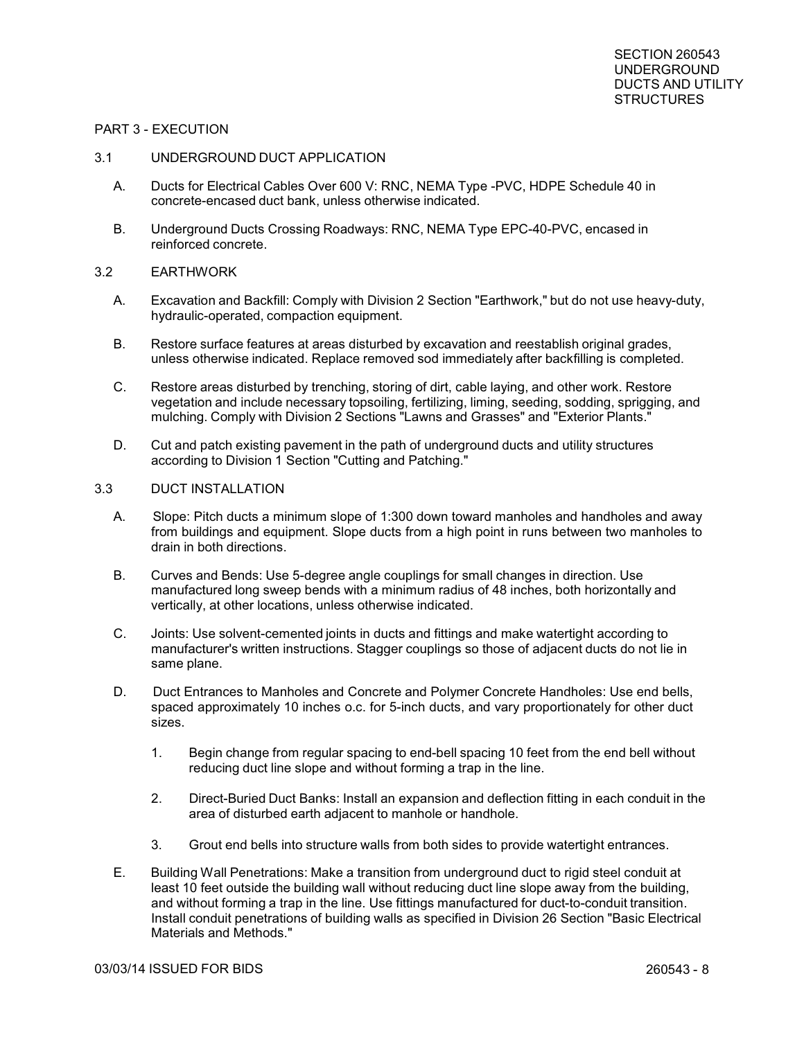#### PART 3 - EXECUTION

#### 3.1 UNDERGROUND DUCT APPLICATION

- A. Ducts for Electrical Cables Over 600 V: RNC, NEMA Type -PVC, HDPE Schedule 40 in concrete-encased duct bank, unless otherwise indicated.
- B. Underground Ducts Crossing Roadways: RNC, NEMA Type EPC-40-PVC, encased in reinforced concrete.

#### 3.2 EARTHWORK

- A. Excavation and Backfill: Comply with Division 2 Section "Earthwork," but do not use heavy-duty, hydraulic-operated, compaction equipment.
- B. Restore surface features at areas disturbed by excavation and reestablish original grades, unless otherwise indicated. Replace removed sod immediately after backfilling is completed.
- C. Restore areas disturbed by trenching, storing of dirt, cable laying, and other work. Restore vegetation and include necessary topsoiling, fertilizing, liming, seeding, sodding, sprigging, and mulching. Comply with Division 2 Sections "Lawns and Grasses" and "Exterior Plants."
- D. Cut and patch existing pavement in the path of underground ducts and utility structures according to Division 1 Section "Cutting and Patching."

#### 3.3 DUCT INSTALLATION

- A. Slope: Pitch ducts a minimum slope of 1:300 down toward manholes and handholes and away from buildings and equipment. Slope ducts from a high point in runs between two manholes to drain in both directions.
- B. Curves and Bends: Use 5-degree angle couplings for small changes in direction. Use manufactured long sweep bends with a minimum radius of 48 inches, both horizontally and vertically, at other locations, unless otherwise indicated.
- C. Joints: Use solvent-cemented joints in ducts and fittings and make watertight according to manufacturer's written instructions. Stagger couplings so those of adjacent ducts do not lie in same plane.
- D. Duct Entrances to Manholes and Concrete and Polymer Concrete Handholes: Use end bells, spaced approximately 10 inches o.c. for 5-inch ducts, and vary proportionately for other duct sizes.
	- 1. Begin change from regular spacing to end-bell spacing 10 feet from the end bell without reducing duct line slope and without forming a trap in the line.
	- 2. Direct-Buried Duct Banks: Install an expansion and deflection fitting in each conduit in the area of disturbed earth adjacent to manhole or handhole.
	- 3. Grout end bells into structure walls from both sides to provide watertight entrances.
- E. Building Wall Penetrations: Make a transition from underground duct to rigid steel conduit at least 10 feet outside the building wall without reducing duct line slope away from the building, and without forming a trap in the line. Use fittings manufactured for duct-to-conduit transition. Install conduit penetrations of building walls as specified in Division 26 Section "Basic Electrical Materials and Methods."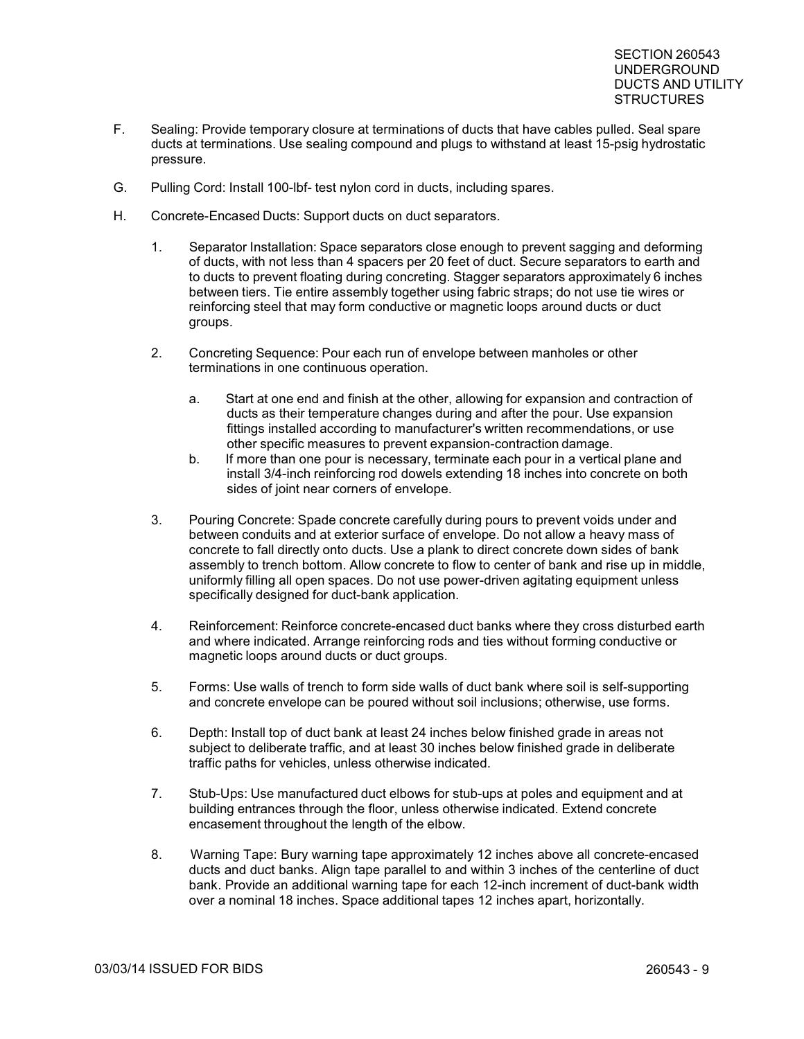- F. Sealing: Provide temporary closure at terminations of ducts that have cables pulled. Seal spare ducts at terminations. Use sealing compound and plugs to withstand at least 15-psig hydrostatic pressure.
- G. Pulling Cord: Install 100-lbf- test nylon cord in ducts, including spares.
- H. Concrete-Encased Ducts: Support ducts on duct separators.
	- 1. Separator Installation: Space separators close enough to prevent sagging and deforming of ducts, with not less than 4 spacers per 20 feet of duct. Secure separators to earth and to ducts to prevent floating during concreting. Stagger separators approximately 6 inches between tiers. Tie entire assembly together using fabric straps; do not use tie wires or reinforcing steel that may form conductive or magnetic loops around ducts or duct groups.
	- 2. Concreting Sequence: Pour each run of envelope between manholes or other terminations in one continuous operation.
		- a. Start at one end and finish at the other, allowing for expansion and contraction of ducts as their temperature changes during and after the pour. Use expansion fittings installed according to manufacturer's written recommendations, or use other specific measures to prevent expansion-contraction damage.
		- b. If more than one pour is necessary, terminate each pour in a vertical plane and install 3/4-inch reinforcing rod dowels extending 18 inches into concrete on both sides of joint near corners of envelope.
	- 3. Pouring Concrete: Spade concrete carefully during pours to prevent voids under and between conduits and at exterior surface of envelope. Do not allow a heavy mass of concrete to fall directly onto ducts. Use a plank to direct concrete down sides of bank assembly to trench bottom. Allow concrete to flow to center of bank and rise up in middle, uniformly filling all open spaces. Do not use power-driven agitating equipment unless specifically designed for duct-bank application.
	- 4. Reinforcement: Reinforce concrete-encased duct banks where they cross disturbed earth and where indicated. Arrange reinforcing rods and ties without forming conductive or magnetic loops around ducts or duct groups.
	- 5. Forms: Use walls of trench to form side walls of duct bank where soil is self-supporting and concrete envelope can be poured without soil inclusions; otherwise, use forms.
	- 6. Depth: Install top of duct bank at least 24 inches below finished grade in areas not subject to deliberate traffic, and at least 30 inches below finished grade in deliberate traffic paths for vehicles, unless otherwise indicated.
	- 7. Stub-Ups: Use manufactured duct elbows for stub-ups at poles and equipment and at building entrances through the floor, unless otherwise indicated. Extend concrete encasement throughout the length of the elbow.
	- 8. Warning Tape: Bury warning tape approximately 12 inches above all concrete-encased ducts and duct banks. Align tape parallel to and within 3 inches of the centerline of duct bank. Provide an additional warning tape for each 12-inch increment of duct-bank width over a nominal 18 inches. Space additional tapes 12 inches apart, horizontally.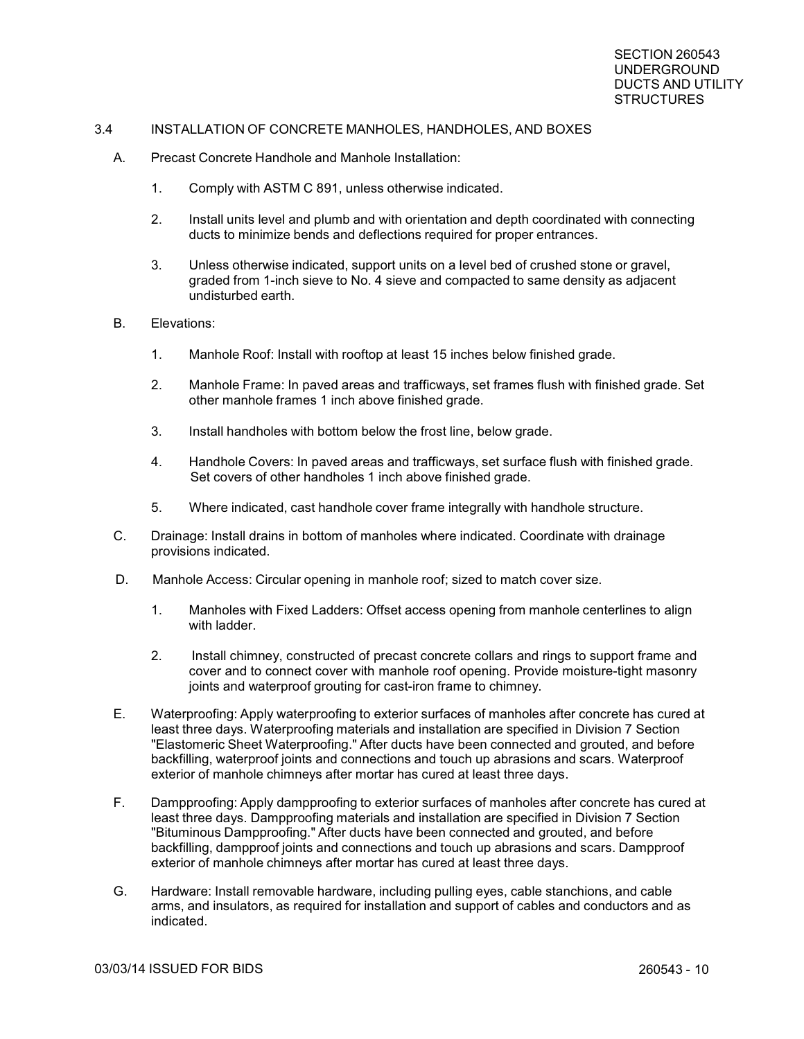#### 3.4 INSTALLATION OF CONCRETE MANHOLES, HANDHOLES, AND BOXES

- A. Precast Concrete Handhole and Manhole Installation:
	- 1. Comply with ASTM C 891, unless otherwise indicated.
	- 2. Install units level and plumb and with orientation and depth coordinated with connecting ducts to minimize bends and deflections required for proper entrances.
	- 3. Unless otherwise indicated, support units on a level bed of crushed stone or gravel, graded from 1-inch sieve to No. 4 sieve and compacted to same density as adjacent undisturbed earth.
- B. Elevations:
	- 1. Manhole Roof: Install with rooftop at least 15 inches below finished grade.
	- 2. Manhole Frame: In paved areas and trafficways, set frames flush with finished grade. Set other manhole frames 1 inch above finished grade.
	- 3. Install handholes with bottom below the frost line, below grade.
	- 4. Handhole Covers: In paved areas and trafficways, set surface flush with finished grade. Set covers of other handholes 1 inch above finished grade.
	- 5. Where indicated, cast handhole cover frame integrally with handhole structure.
- C. Drainage: Install drains in bottom of manholes where indicated. Coordinate with drainage provisions indicated.
- D. Manhole Access: Circular opening in manhole roof; sized to match cover size.
	- 1. Manholes with Fixed Ladders: Offset access opening from manhole centerlines to align with ladder.
	- 2. Install chimney, constructed of precast concrete collars and rings to support frame and cover and to connect cover with manhole roof opening. Provide moisture-tight masonry joints and waterproof grouting for cast-iron frame to chimney.
- E. Waterproofing: Apply waterproofing to exterior surfaces of manholes after concrete has cured at least three days. Waterproofing materials and installation are specified in Division 7 Section "Elastomeric Sheet Waterproofing." After ducts have been connected and grouted, and before backfilling, waterproof joints and connections and touch up abrasions and scars. Waterproof exterior of manhole chimneys after mortar has cured at least three days.
- F. Dampproofing: Apply dampproofing to exterior surfaces of manholes after concrete has cured at least three days. Dampproofing materials and installation are specified in Division 7 Section "Bituminous Dampproofing." After ducts have been connected and grouted, and before backfilling, dampproof joints and connections and touch up abrasions and scars. Dampproof exterior of manhole chimneys after mortar has cured at least three days.
- G. Hardware: Install removable hardware, including pulling eyes, cable stanchions, and cable arms, and insulators, as required for installation and support of cables and conductors and as indicated.